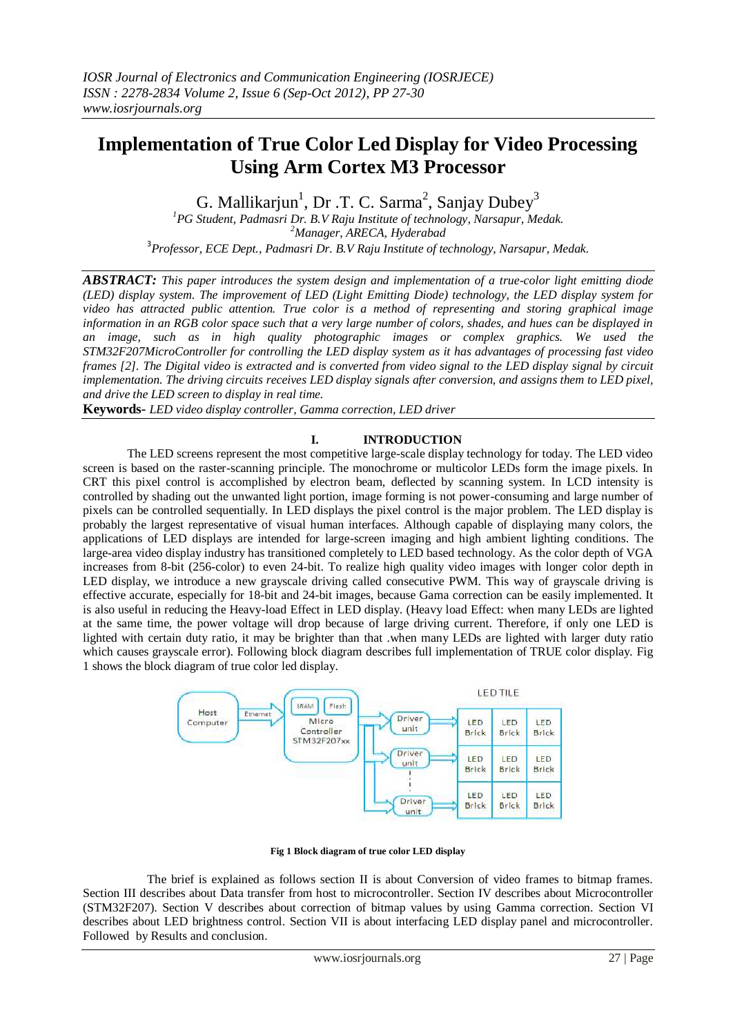# **Implementation of True Color Led Display for Video Processing Using Arm Cortex M3 Processor**

G. Mallikarjun<sup>1</sup>, Dr .T. C. Sarma<sup>2</sup>, Sanjay Dubey<sup>3</sup>

*<sup>1</sup>PG Student, Padmasri Dr. B.V Raju Institute of technology, Narsapur, Medak. <sup>2</sup>Manager, ARECA, Hyderabad* 3 *Professor, ECE Dept., Padmasri Dr. B.V Raju Institute of technology, Narsapur, Medak.*

*ABSTRACT: This paper introduces the system design and implementation of a true-color light emitting diode (LED) display system. The improvement of LED (Light Emitting Diode) technology, the LED display system for video has attracted public attention. True color is a method of representing and storing graphical image information in an RGB color space such that a very large number of colors, shades, and hues can be displayed in an image, such as in high quality photographic images or complex graphics. We used the STM32F207MicroController for controlling the LED display system as it has advantages of processing fast video frames [2]. The Digital video is extracted and is converted from video signal to the LED display signal by circuit implementation. The driving circuits receives LED display signals after conversion, and assigns them to LED pixel, and drive the LED screen to display in real time.*

**Keywords-** *LED video display controller, Gamma correction, LED driver*

## **I. INTRODUCTION**

The LED screens represent the most competitive large-scale display technology for today. The LED video screen is based on the raster-scanning principle. The monochrome or multicolor LEDs form the image pixels. In CRT this pixel control is accomplished by electron beam, deflected by scanning system. In LCD intensity is controlled by shading out the unwanted light portion, image forming is not power-consuming and large number of pixels can be controlled sequentially. In LED displays the pixel control is the major problem. The LED display is probably the largest representative of visual human interfaces. Although capable of displaying many colors, the applications of LED displays are intended for large-screen imaging and high ambient lighting conditions. The large-area video display industry has transitioned completely to LED based technology. As the color depth of VGA increases from 8-bit (256-color) to even 24-bit. To realize high quality video images with longer color depth in LED display, we introduce a new grayscale driving called consecutive PWM. This way of grayscale driving is effective accurate, especially for 18-bit and 24-bit images, because Gama correction can be easily implemented. It is also useful in reducing the Heavy-load Effect in LED display. (Heavy load Effect: when many LEDs are lighted at the same time, the power voltage will drop because of large driving current. Therefore, if only one LED is lighted with certain duty ratio, it may be brighter than that .when many LEDs are lighted with larger duty ratio which causes grayscale error). Following block diagram describes full implementation of TRUE color display. Fig 1 shows the block diagram of true color led display.



**Fig 1 Block diagram of true color LED display**

 The brief is explained as follows section II is about Conversion of video frames to bitmap frames. Section III describes about Data transfer from host to microcontroller. Section IV describes about Microcontroller (STM32F207). Section V describes about correction of bitmap values by using Gamma correction. Section VI describes about LED brightness control. Section VII is about interfacing LED display panel and microcontroller. Followed by Results and conclusion.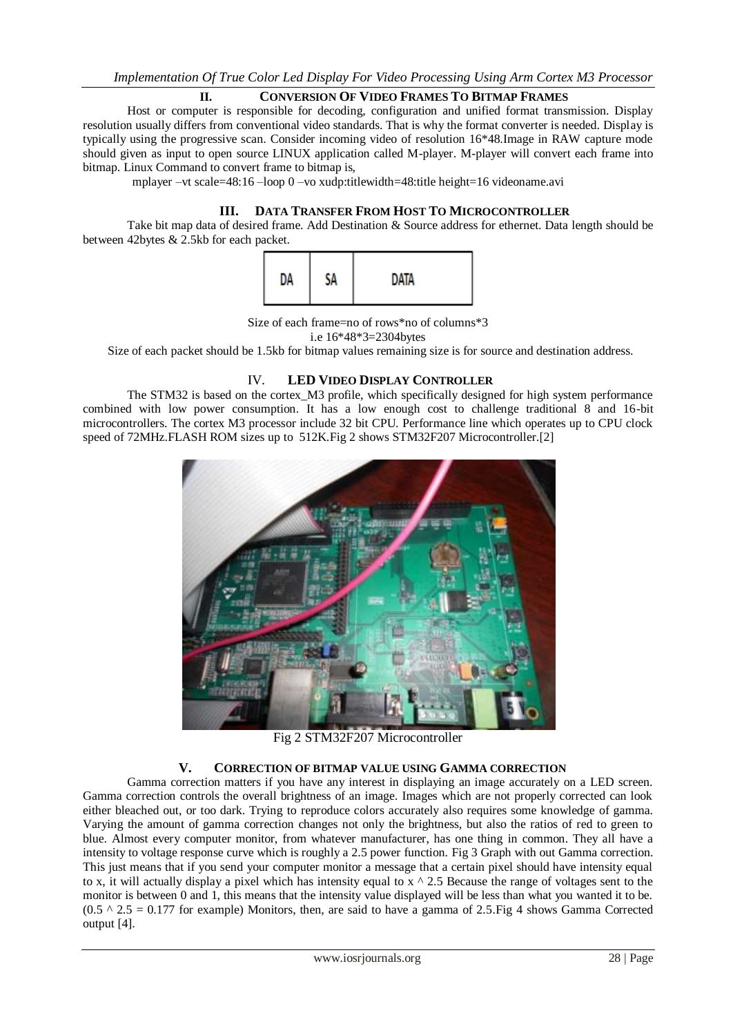## **II. CONVERSION OF VIDEO FRAMES TO BITMAP FRAMES**

Host or computer is responsible for decoding, configuration and unified format transmission. Display resolution usually differs from conventional video standards. That is why the format converter is needed. Display is typically using the progressive scan. Consider incoming video of resolution 16\*48.Image in RAW capture mode should given as input to open source LINUX application called M-player. M-player will convert each frame into bitmap. Linux Command to convert frame to bitmap is,

mplayer –vt scale=48:16 –loop 0 –vo xudp:titlewidth=48:title height=16 videoname.avi

# **III. DATA TRANSFER FROM HOST TO MICROCONTROLLER**

Take bit map data of desired frame. Add Destination & Source address for ethernet. Data length should be between 42bytes & 2.5kb for each packet.



Size of each frame=no of rows\*no of columns\*3 i.e 16\*48\*3=2304bytes

Size of each packet should be 1.5kb for bitmap values remaining size is for source and destination address.

## IV. **LED VIDEO DISPLAY CONTROLLER**

The STM32 is based on the cortex\_M3 profile, which specifically designed for high system performance combined with low power consumption. It has a low enough cost to challenge traditional 8 and 16-bit microcontrollers. The cortex M3 processor include 32 bit CPU. Performance line which operates up to CPU clock speed of 72MHz.FLASH ROM sizes up to 512K.Fig 2 shows STM32F207 Microcontroller.[2]



Fig 2 STM32F207 Microcontroller

# **V. CORRECTION OF BITMAP VALUE USING GAMMA CORRECTION**

Gamma correction matters if you have any interest in displaying an image accurately on a LED screen. Gamma correction controls the overall brightness of an image. Images which are not properly corrected can look either bleached out, or too dark. Trying to reproduce colors accurately also requires some knowledge of gamma. Varying the amount of gamma correction changes not only the brightness, but also the ratios of red to green to blue. Almost every computer monitor, from whatever manufacturer, has one thing in common. They all have a intensity to voltage response curve which is roughly a 2.5 power function. Fig 3 Graph with out Gamma correction. This just means that if you send your computer monitor a message that a certain pixel should have intensity equal to x, it will actually display a pixel which has intensity equal to  $\bar{x} \wedge 2.5$  Because the range of voltages sent to the monitor is between 0 and 1, this means that the intensity value displayed will be less than what you wanted it to be.  $(0.5 \land 2.5 = 0.177$  for example) Monitors, then, are said to have a gamma of 2.5. Fig 4 shows Gamma Corrected output [4].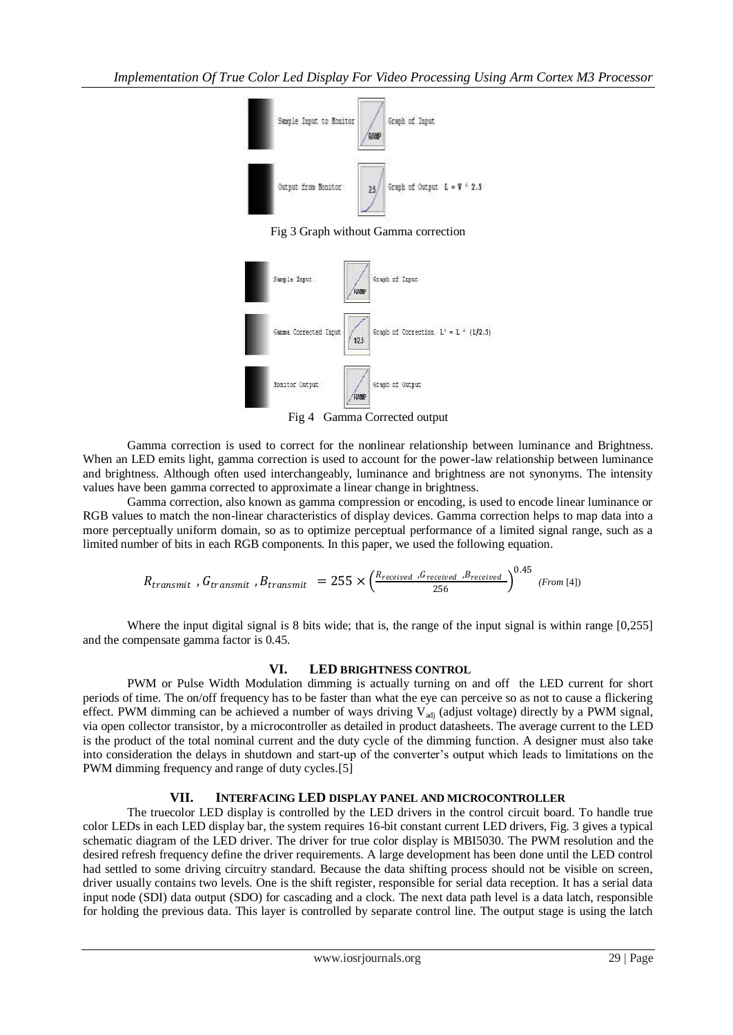

Fig 3 Graph without Gamma correction



Fig 4 Gamma Corrected output

Gamma correction is used to correct for the nonlinear relationship between luminance and Brightness. When an LED emits light, gamma correction is used to account for the power-law relationship between luminance and brightness. Although often used interchangeably, luminance and brightness are not synonyms. The intensity values have been gamma corrected to approximate a linear change in brightness.

Gamma correction, also known as gamma compression or encoding, is used to encode linear luminance or RGB values to match the non-linear characteristics of display devices. Gamma correction helps to map data into a more perceptually uniform domain, so as to optimize perceptual performance of a limited signal range, such as a limited number of bits in each RGB components. In this paper, we used the following equation.

$$
R_{transmit}, G_{transmit}, B_{transmit} = 255 \times \left(\frac{R_{received}, G_{received}, B_{received}}{256}\right)^{0.45} \tag{From [4]}
$$

Where the input digital signal is 8 bits wide; that is, the range of the input signal is within range  $[0,255]$ and the compensate gamma factor is 0.45.

# **VI. LED BRIGHTNESS CONTROL**

PWM or Pulse Width Modulation dimming is actually turning on and off the LED current for short periods of time. The on/off frequency has to be faster than what the eye can perceive so as not to cause a flickering effect. PWM dimming can be achieved a number of ways driving  $V_{\text{adj}}$  (adjust voltage) directly by a PWM signal, via open collector transistor, by a microcontroller as detailed in product datasheets. The average current to the LED is the product of the total nominal current and the duty cycle of the dimming function. A designer must also take into consideration the delays in shutdown and start-up of the converter's output which leads to limitations on the PWM dimming frequency and range of duty cycles.[5]

# **VII. INTERFACING LED DISPLAY PANEL AND MICROCONTROLLER**

The truecolor LED display is controlled by the LED drivers in the control circuit board. To handle true color LEDs in each LED display bar, the system requires 16-bit constant current LED drivers, Fig. 3 gives a typical schematic diagram of the LED driver. The driver for true color display is MBI5030. The PWM resolution and the desired refresh frequency define the driver requirements. A large development has been done until the LED control had settled to some driving circuitry standard. Because the data shifting process should not be visible on screen, driver usually contains two levels. One is the shift register, responsible for serial data reception. It has a serial data input node (SDI) data output (SDO) for cascading and a clock. The next data path level is a data latch, responsible for holding the previous data. This layer is controlled by separate control line. The output stage is using the latch